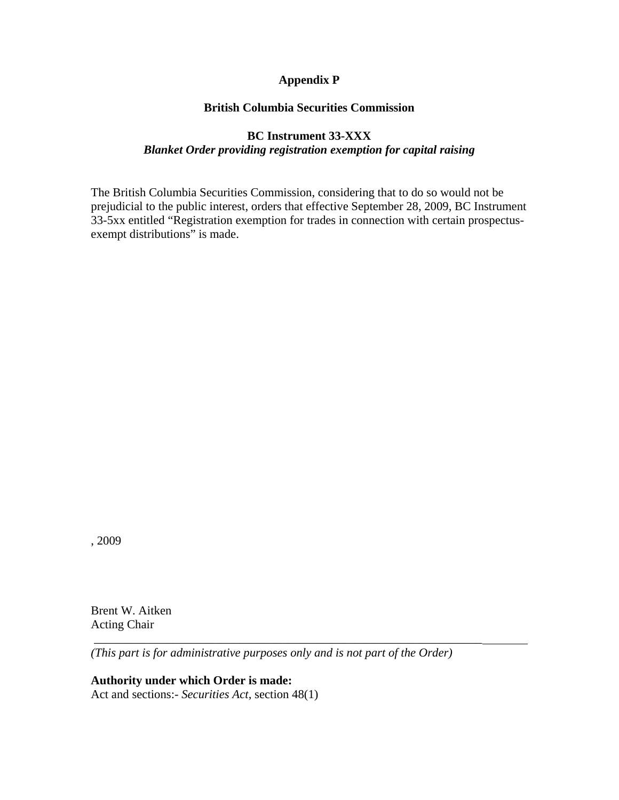# **Appendix P**

### **British Columbia Securities Commission**

# **BC Instrument 33-XXX**  *Blanket Order providing registration exemption for capital raising*

The British Columbia Securities Commission, considering that to do so would not be prejudicial to the public interest, orders that effective September 28, 2009, BC Instrument 33-5xx entitled "Registration exemption for trades in connection with certain prospectusexempt distributions" is made.

, 2009

Brent W. Aitken Acting Chair

*(This part is for administrative purposes only and is not part of the Order)* 

\_\_\_\_\_\_\_\_\_\_\_\_\_\_\_\_\_\_\_\_\_\_\_\_\_\_\_\_\_\_\_\_\_\_\_\_\_\_\_\_\_\_\_\_\_\_\_\_\_\_\_\_\_\_\_\_\_\_\_\_\_\_\_\_

**Authority under which Order is made:**  Act and sections:- *Securities Act*, section 48(1)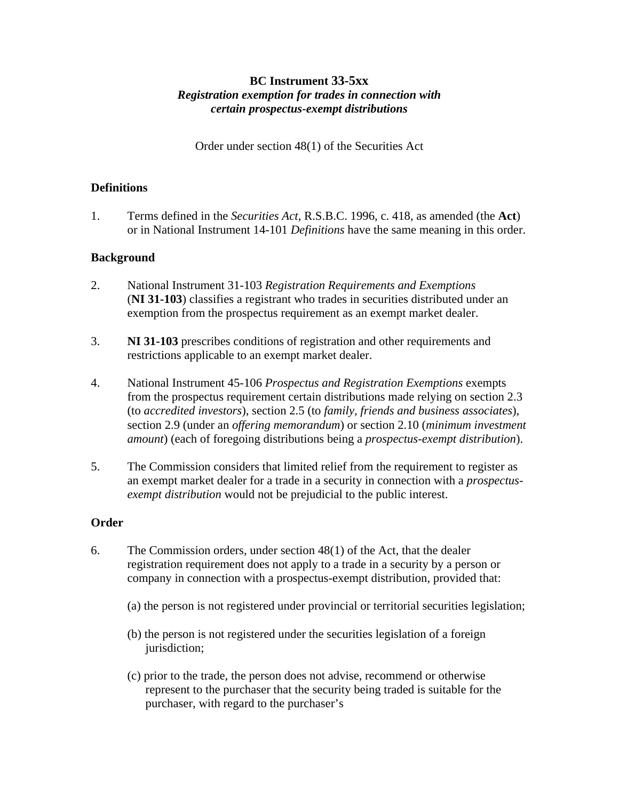# **BC Instrument 33-5xx**  *Registration exemption for trades in connection with certain prospectus-exempt distributions*

Order under section 48(1) of the Securities Act

### **Definitions**

1. Terms defined in the *Securities Act*, R.S.B.C. 1996, c. 418, as amended (the **Act**) or in National Instrument 14-101 *Definitions* have the same meaning in this order.

# **Background**

- 2. National Instrument 31-103 *Registration Requirements and Exemptions*  (**NI 31-103**) classifies a registrant who trades in securities distributed under an exemption from the prospectus requirement as an exempt market dealer.
- 3. **NI 31-103** prescribes conditions of registration and other requirements and restrictions applicable to an exempt market dealer.
- 4. National Instrument 45-106 *Prospectus and Registration Exemptions* exempts from the prospectus requirement certain distributions made relying on section 2.3 (to *accredited investors*), section 2.5 (to *family, friends and business associates*), section 2.9 (under an *offering memorandum*) or section 2.10 (*minimum investment amount*) (each of foregoing distributions being a *prospectus-exempt distribution*).
- 5. The Commission considers that limited relief from the requirement to register as an exempt market dealer for a trade in a security in connection with a *prospectusexempt distribution* would not be prejudicial to the public interest.

# **Order**

- 6. The Commission orders, under section 48(1) of the Act, that the dealer registration requirement does not apply to a trade in a security by a person or company in connection with a prospectus-exempt distribution, provided that:
	- (a) the person is not registered under provincial or territorial securities legislation;
	- (b) the person is not registered under the securities legislation of a foreign jurisdiction;
	- (c) prior to the trade, the person does not advise, recommend or otherwise represent to the purchaser that the security being traded is suitable for the purchaser, with regard to the purchaser's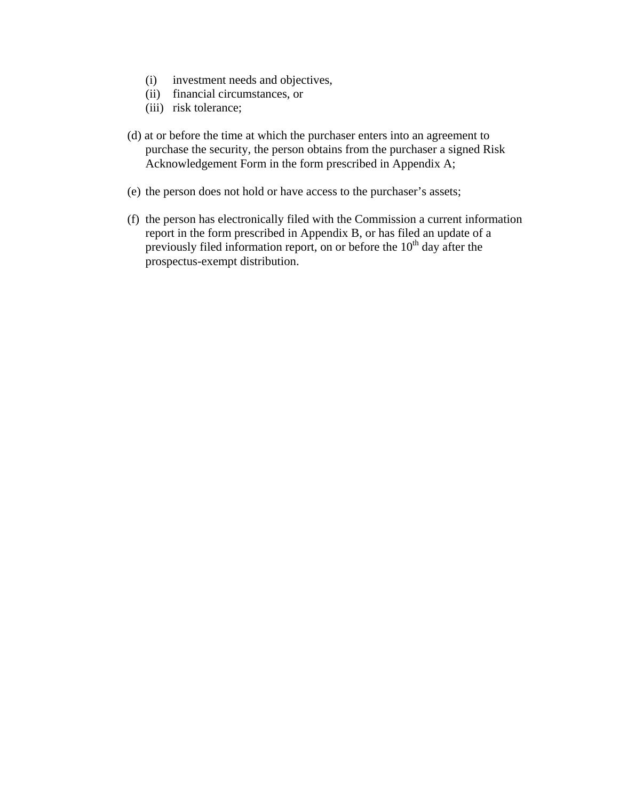- (i) investment needs and objectives,
- (ii) financial circumstances, or
- (iii) risk tolerance;
- (d) at or before the time at which the purchaser enters into an agreement to purchase the security, the person obtains from the purchaser a signed Risk Acknowledgement Form in the form prescribed in Appendix A;
- (e) the person does not hold or have access to the purchaser's assets;
- (f) the person has electronically filed with the Commission a current information report in the form prescribed in Appendix B, or has filed an update of a previously filed information report, on or before the  $10<sup>th</sup>$  day after the prospectus-exempt distribution.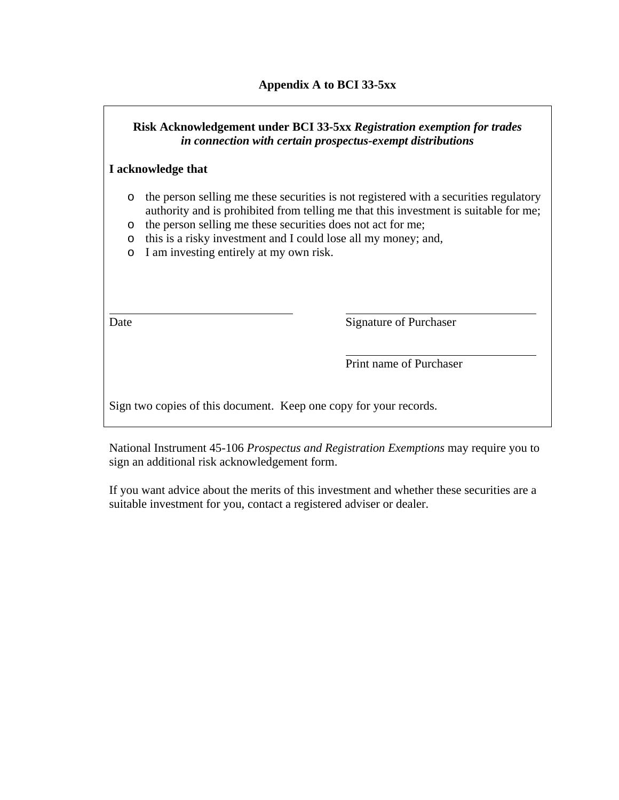# **Risk Acknowledgement under BCI 33-5xx** *Registration exemption for trades in connection with certain prospectus-exempt distributions*

# **I acknowledge that**

- o the person selling me these securities is not registered with a securities regulatory authority and is prohibited from telling me that this investment is suitable for me;
- o the person selling me these securities does not act for me;
- o this is a risky investment and I could lose all my money; and,
- o I am investing entirely at my own risk.

Date Signature of Purchaser

Print name of Purchaser

Sign two copies of this document. Keep one copy for your records.

National Instrument 45-106 *Prospectus and Registration Exemptions* may require you to sign an additional risk acknowledgement form.

If you want advice about the merits of this investment and whether these securities are a suitable investment for you, contact a registered adviser or dealer.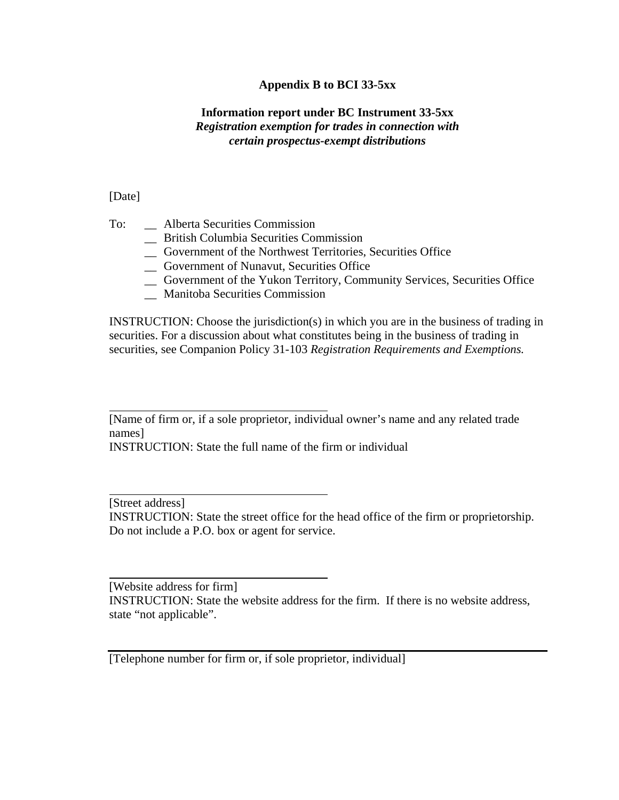# **Appendix B to BCI 33-5xx**

# **Information report under BC Instrument 33-5xx**  *Registration exemption for trades in connection with certain prospectus-exempt distributions*

[Date]

 $\overline{a}$ 

 $\overline{a}$ 

 $\overline{a}$ 

- To: Alberta Securities Commission
	- \_\_ British Columbia Securities Commission
	- \_\_ Government of the Northwest Territories, Securities Office
	- \_\_ Government of Nunavut, Securities Office
	- \_\_ Government of the Yukon Territory, Community Services, Securities Office
	- \_\_ Manitoba Securities Commission

INSTRUCTION: Choose the jurisdiction(s) in which you are in the business of trading in securities. For a discussion about what constitutes being in the business of trading in securities, see Companion Policy 31-103 *Registration Requirements and Exemptions.*

INSTRUCTION: State the full name of the firm or individual

[Street address] INSTRUCTION: State the street office for the head office of the firm or proprietorship. Do not include a P.O. box or agent for service.

[Website address for firm] INSTRUCTION: State the website address for the firm. If there is no website address, state "not applicable".

[Telephone number for firm or, if sole proprietor, individual]

<sup>[</sup>Name of firm or, if a sole proprietor, individual owner's name and any related trade names]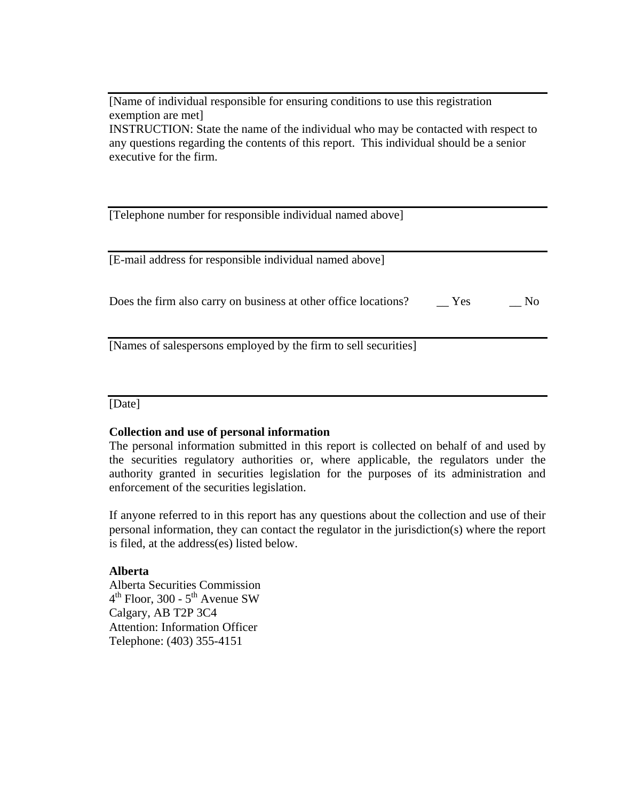[Name of individual responsible for ensuring conditions to use this registration exemption are met] INSTRUCTION: State the name of the individual who may be contacted with respect to

any questions regarding the contents of this report. This individual should be a senior executive for the firm.

| [Telephone number for responsible individual named above]       |     |                |
|-----------------------------------------------------------------|-----|----------------|
| [E-mail address for responsible individual named above]         |     |                |
| Does the firm also carry on business at other office locations? | Yes | N <sub>0</sub> |
| [Names of salespersons employed by the firm to sell securities] |     |                |

[Date]

### **Collection and use of personal information**

The personal information submitted in this report is collected on behalf of and used by the securities regulatory authorities or, where applicable, the regulators under the authority granted in securities legislation for the purposes of its administration and enforcement of the securities legislation.

If anyone referred to in this report has any questions about the collection and use of their personal information, they can contact the regulator in the jurisdiction(s) where the report is filed, at the address(es) listed below.

### **Alberta**

Alberta Securities Commission  $4<sup>th</sup>$  Floor, 300 -  $5<sup>th</sup>$  Avenue SW Calgary, AB T2P 3C4 Attention: Information Officer Telephone: (403) 355-4151